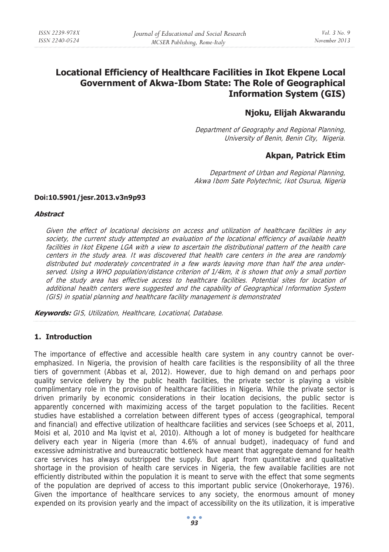# **Locational Efficiency of Healthcare Facilities in Ikot Ekpene Local Government of Akwa-Ibom State: The Role of Geographical Information System (GIS)**

## **Njoku, Elijah Akwarandu**

Department of Geography and Regional Planning, University of Benin, Benin City, Nigeria.

## **Akpan, Patrick Etim**

Department of Urban and Regional Planning, Akwa Ibom Sate Polytechnic, Ikot Osurua, Nigeria

#### **Doi:10.5901/jesr.2013.v3n9p93**

#### **Abstract**

Given the effect of locational decisions on access and utilization of healthcare facilities in any society, the current study attempted an evaluation of the locational efficiency of available health facilities in Ikot Ekpene LGA with a view to ascertain the distributional pattern of the health care centers in the study area. It was discovered that health care centers in the area are randomly distributed but moderately concentrated in a few wards leaving more than half the area underserved. Using a WHO population/distance criterion of 1/4km, it is shown that only a small portion of the study area has effective access to healthcare facilities. Potential sites for location of additional health centers were suggested and the capability of Geographical Information System (GIS) in spatial planning and healthcare facility management is demonstrated

**Keywords:** GIS, Utilization, Healthcare, Locational, Database.

#### **1. Introduction**

The importance of effective and accessible health care system in any country cannot be overemphasized. In Nigeria, the provision of health care facilities is the responsibility of all the three tiers of government (Abbas et al, 2012). However, due to high demand on and perhaps poor quality service delivery by the public health facilities, the private sector is playing a visible complimentary role in the provision of healthcare facilities in Nigeria. While the private sector is driven primarily by economic considerations in their location decisions, the public sector is apparently concerned with maximizing access of the target population to the facilities. Recent studies have established a correlation between different types of access (geographical, temporal and financial) and effective utilization of healthcare facilities and services (see Schoeps et al, 2011, Moisi et al, 2010 and Ma lqvist et al, 2010). Although a lot of money is budgeted for healthcare delivery each year in Nigeria (more than 4.6% of annual budget), inadequacy of fund and excessive administrative and bureaucratic bottleneck have meant that aggregate demand for health care services has always outstripped the supply. But apart from quantitative and qualitative shortage in the provision of health care services in Nigeria, the few available facilities are not efficiently distributed within the population it is meant to serve with the effect that some segments of the population are deprived of access to this important public service (Onokerhoraye, 1976). Given the importance of healthcare services to any society, the enormous amount of money expended on its provision yearly and the impact of accessibility on the its utilization, it is imperative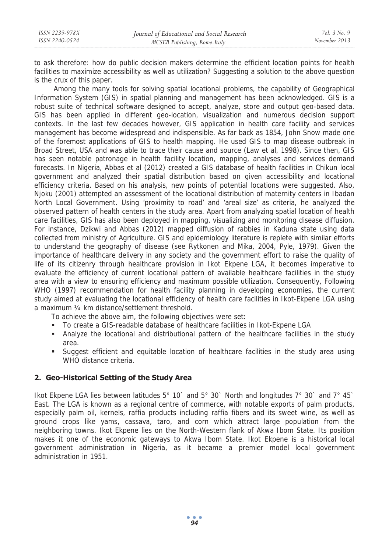to ask therefore: how do public decision makers determine the efficient location points for health facilities to maximize accessibility as well as utilization? Suggesting a solution to the above question is the crux of this paper.

 Among the many tools for solving spatial locational problems, the capability of Geographical Information System (GIS) in spatial planning and management has been acknowledged. GIS is a robust suite of technical software designed to accept, analyze, store and output geo-based data. GIS has been applied in different geo-location, visualization and numerous decision support contexts. In the last few decades however, GIS application in health care facility and services management has become widespread and indispensible. As far back as 1854, John Snow made one of the foremost applications of GIS to health mapping. He used GIS to map disease outbreak in Broad Street, USA and was able to trace their cause and source (Law et al, 1998). Since then, GIS has seen notable patronage in health facility location, mapping, analyses and services demand forecasts. In Nigeria, Abbas et al (2012) created a GIS database of health facilities in Chikun local government and analyzed their spatial distribution based on given accessibility and locational efficiency criteria. Based on his analysis, new points of potential locations were suggested. Also, Njoku (2001) attempted an assessment of the locational distribution of maternity centers in Ibadan North Local Government. Using 'proximity to road' and 'areal size' as criteria, he analyzed the observed pattern of health centers in the study area. Apart from analyzing spatial location of health care facilities, GIS has also been deployed in mapping, visualizing and monitoring disease diffusion. For instance, Dzikwi and Abbas (2012) mapped diffusion of rabbies in Kaduna state using data collected from ministry of Agriculture. GIS and epidemiology literature is replete with similar efforts to understand the geography of disease (see Rytkonen and Mika, 2004, Pyle, 1979). Given the importance of healthcare delivery in any society and the government effort to raise the quality of life of its citizenry through healthcare provision in Ikot Ekpene LGA, it becomes imperative to evaluate the efficiency of current locational pattern of available healthcare facilities in the study area with a view to ensuring efficiency and maximum possible utilization. Consequently, Following WHO (1997) recommendation for health facility planning in developing economies, the current study aimed at evaluating the locational efficiency of health care facilities in Ikot-Ekpene LGA using a maximum ¼ km distance/settlement threshold.

To achieve the above aim, the following objectives were set:

- To create a GIS-readable database of healthcare facilities in Ikot-Ekpene LGA
- Analyze the locational and distributional pattern of the healthcare facilities in the study area.
- Suggest efficient and equitable location of healthcare facilities in the study area using WHO distance criteria.

### **2. Geo-Historical Setting of the Study Area**

Ikot Ekpene LGA lies between latitudes 5° 10` and 5° 30` North and longitudes 7° 30` and 7° 45` East. The LGA is known as a regional centre of commerce, with notable exports of palm products, especially palm oil, kernels, raffia products including raffia fibers and its sweet wine, as well as ground crops like yams, cassava, taro, and corn which attract large population from the neighboring towns. Ikot Ekpene lies on the North-Western flank of Akwa Ibom State. Its position makes it one of the economic gateways to Akwa Ibom State. Ikot Ekpene is a historical local government administration in Nigeria, as it became a premier model local government administration in 1951.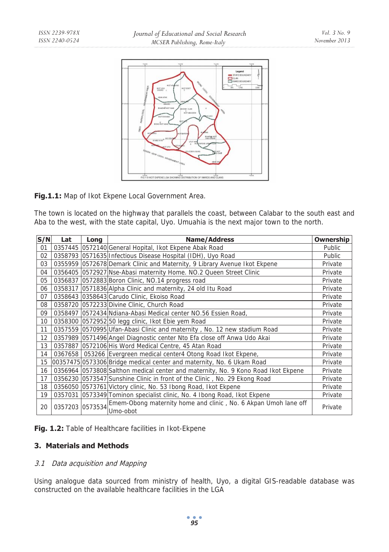

**Fig.1.1:** Map of Ikot Ekpene Local Government Area.

The town is located on the highway that parallels the coast, between Calabar to the south east and Aba to the west, with the state capital, Uyo. Umuahia is the next major town to the north.

| S/N | Lat     | Long | <b>Name/Address</b>                                                                         | Ownership |
|-----|---------|------|---------------------------------------------------------------------------------------------|-----------|
| 01  |         |      | 0357445 0572140 General Hopital, Ikot Ekpene Abak Road                                      | Public    |
| 02  |         |      | 0358793 0571635 Infectious Disease Hospital (IDH), Uyo Road                                 | Public    |
| 03  |         |      | 0355959 0572678 Demark Clinic and Maternity, 9 Library Avenue Ikot Ekpene                   | Private   |
| 04  |         |      | 0356405 0572927 Nse-Abasi maternity Home. NO.2 Queen Street Clinic                          | Private   |
| 05  | 0356837 |      | 0572883 Boron Clinic, NO.14 progress road                                                   | Private   |
| 06  |         |      | 0358317 0571836 Alpha Clinic and maternity, 24 old Itu Road                                 | Private   |
| 07  |         |      | 0358643 0358643 Carudo Clinic, Ekoiso Road                                                  | Private   |
| 08  |         |      | 0358720 0572233 Divine Clinic, Church Road                                                  | Private   |
| 09  |         |      | 0358497 0572434 Ndiana-Abasi Medical center NO.56 Essien Road,                              | Private   |
| 10  |         |      | 0358300 0572952 50 legg clinic, Ikot Ebie yem Road                                          | Private   |
| 11  |         |      | 0357559 0570995 Ufan-Abasi Clinic and maternity, No. 12 new stadium Road                    | Private   |
| 12  |         |      | 0357989 0571496 Angel Diagnostic center Nto Efa close off Anwa Udo Akai                     | Private   |
| 13  |         |      | 0357887 0572106 His Word Medical Centre, 45 Atan Road                                       | Private   |
| 14  |         |      | 0367658   053266 Evergreen medical center4 Otong Road Ikot Ekpene,                          | Private   |
| 15  |         |      | 00357475 0573306 Bridge medical center and maternity, No. 6 Ukam Road                       | Private   |
| 16  |         |      | 0356964 0573808 Salthon medical center and maternity, No. 9 Kono Road Ikot Ekpene           | Private   |
| 17  |         |      | 0356230 0573547 Sunshine Clinic in front of the Clinic, No. 29 Ekong Road                   | Private   |
| 18  |         |      | 0356050 0573761 Victory clinic, No. 53 Ibong Road, Ikot Ekpene                              | Private   |
| 19  | 0357031 |      | 0573349 Tominon specialist clinic, No. 4 Ibong Road, Ikot Ekpene                            | Private   |
| 20  |         |      | 0357203 0573534 Emem-Obong maternity home and clinic, No. 6 Akpan Umoh lane off<br>Umo-obot | Private   |

**Fig. 1.2:** Table of Healthcare facilities in Ikot-Ekpene

## **3. Materials and Methods**

#### 3.1 Data acquisition and Mapping

Using analogue data sourced from ministry of health, Uyo, a digital GIS-readable database was constructed on the available healthcare facilities in the LGA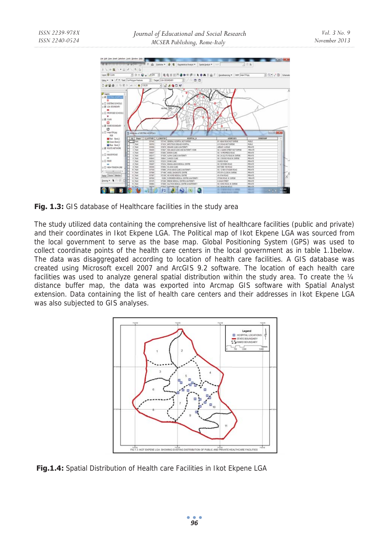

Fig. 1.3: GIS database of Healthcare facilities in the study area

The study utilized data containing the comprehensive list of healthcare facilities (public and private) and their coordinates in Ikot Ekpene LGA. The Political map of Ikot Ekpene LGA was sourced from the local government to serve as the base map. Global Positioning System (GPS) was used to collect coordinate points of the health care centers in the local government as in table 1.1below. The data was disaggregated according to location of health care facilities. A GIS database was created using Microsoft excell 2007 and ArcGIS 9.2 software. The location of each health care facilities was used to analyze general spatial distribution within the study area. To create the 1/4 distance buffer map, the data was exported into Arcmap GIS software with Spatial Analyst extension. Data containing the list of health care centers and their addresses in Ikot Ekpene LGA was also subjected to GIS analyses.



 **Fig.1.4:** Spatial Distribution of Health care Facilities in Ikot Ekpene LGA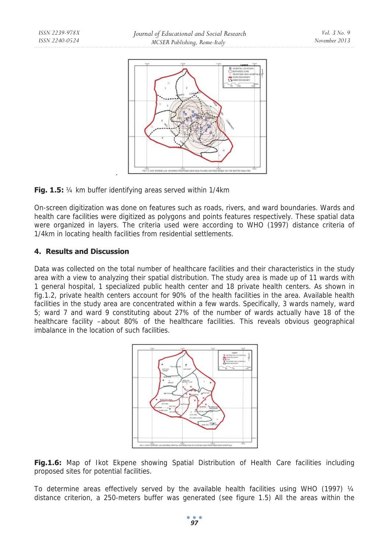



On-screen digitization was done on features such as roads, rivers, and ward boundaries. Wards and health care facilities were digitized as polygons and points features respectively. These spatial data were organized in layers. The criteria used were according to WHO (1997) distance criteria of 1/4km in locating health facilities from residential settlements.

## **4. Results and Discussion**

Data was collected on the total number of healthcare facilities and their characteristics in the study area with a view to analyzing their spatial distribution. The study area is made up of 11 wards with 1 general hospital, 1 specialized public health center and 18 private health centers. As shown in fig.1.2, private health centers account for 90% of the health facilities in the area. Available health facilities in the study area are concentrated within a few wards. Specifically, 3 wards namely, ward 5; ward 7 and ward 9 constituting about 27% of the number of wards actually have 18 of the healthcare facility –about 80% of the healthcare facilities. This reveals obvious geographical imbalance in the location of such facilities.





To determine areas effectively served by the available health facilities using WHO (1997)  $\frac{1}{4}$ distance criterion, a 250-meters buffer was generated (see figure 1.5) All the areas within the